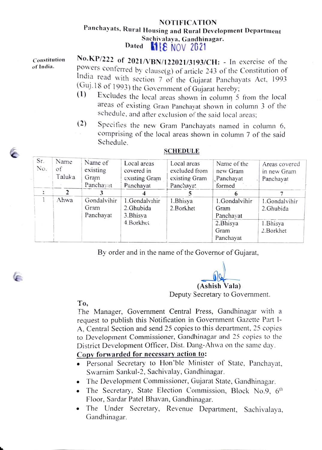## NOTIFICATION Panchayats, Rural Housing and Rural Development Department Sachivalaya, Gandhinagar.<br>Dated 11E NOV 2021

Constitution of India.

No.KP/222 of 2021/VBN/122021/3193/CH: - In exercise of the powers conferred by clause $(g)$  of article 243 of the Constitution of ndia read with section 7 of the Gujarat Panchayats Act, 1993 (Guj. 18 of 1993) the Government of Gujarat hereby;<br>(1) Excludes the local gross change is solved 5.

- Excludes the local areas shown in column 5 from the local areas of existing Gram Panchayat shown in column 3 of the schedule, and after exclusion of the said local areas;
- (2) Specities the new Gram Panchayats named in column 6, comprising of the local areas shown in column 7 of the said Schedule.

| Sr.<br>No. | Name<br>of<br>Taluka | Name of<br>existing<br>Gram<br>Panchayat | Local areas<br>covered in<br>existing Gram<br>Panchayat | Local areas<br>excluded from<br>existing Gram<br>Panchayat | Name of the<br>new Gram<br>Panchayat<br>formed | Areas covered<br>in new Gram<br>Panchayat |
|------------|----------------------|------------------------------------------|---------------------------------------------------------|------------------------------------------------------------|------------------------------------------------|-------------------------------------------|
| ì          |                      |                                          |                                                         |                                                            |                                                |                                           |
|            | Ahwa                 | Gondalvihir<br>Gram<br>Panchayat         | 1.Gondalvihir<br>2.Ghubida<br>3. Bhisya                 | 1.Bhisya<br>2. Borkhet                                     | 1.Gondalvihir<br>Gram<br>Panchayat             | 1.Gondalvihir<br>2.Ghubida                |
|            |                      |                                          | 4.Borkhet                                               |                                                            | 2. Bhisya<br>Gram<br>Panchayat                 | 1. Bhisya<br>2. Borkhet                   |

## SCHEDULE

By order and in the name of the Governor of Gujarat,

(Ashish Vala) Deputy Secretary to Government.

To,

(F

The Manager, Government Central Press, Gandhinagar with a request to publish this Notification in Government Gazette Part 1- A, Central Section and send 25 copies to this department, 25 copies to Development Commissioner, Gandhinagar and 25 copies to the District Development Officer, Dist. Dang-Ahwa on the same day.

## Copy forwarded for necessary action to:

- .Personal Secretary to Hon'ble Minister of State, Panchayat, Swarnim Sankul-2, Sachivalay, Gandhinagar
- .The Development Commissioner, Gujarat State, Gandhinagar.
- The Secretary, State Election Commission, Block No.9,  $6<sup>th</sup>$ Floor, Sardar Patel Bhavan, Gandhinagar.
- The Under Secretary, Revenue Department, Sachivalaya, Gandhinagar.